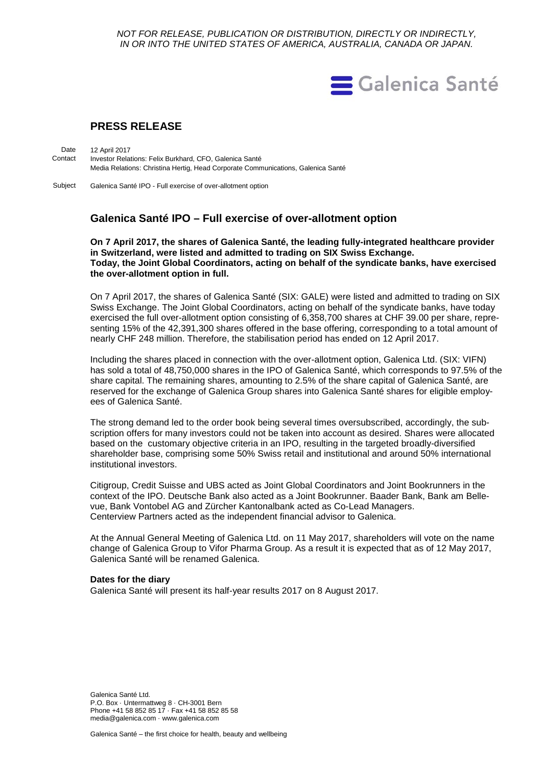*NOT FOR RELEASE, PUBLICATION OR DISTRIBUTION, DIRECTLY OR INDIRECTLY, IN OR INTO THE UNITED STATES OF AMERICA, AUSTRALIA, CANADA OR JAPAN.*



## **PRESS RELEASE**

12 April 2017 Investor Relations: Felix Burkhard, CFO, Galenica Santé Media Relations: Christina Hertig, Head Corporate Communications, Galenica Santé **Date** Contact

Galenica Santé IPO - Full exercise of over-allotment option Subject

# **Galenica Santé IPO – Full exercise of over-allotment option**

**On 7 April 2017, the shares of Galenica Santé, the leading fully-integrated healthcare provider in Switzerland, were listed and admitted to trading on SIX Swiss Exchange. Today, the Joint Global Coordinators, acting on behalf of the syndicate banks, have exercised the over-allotment option in full.**

On 7 April 2017, the shares of Galenica Santé (SIX: GALE) were listed and admitted to trading on SIX Swiss Exchange. The Joint Global Coordinators, acting on behalf of the syndicate banks, have today exercised the full over-allotment option consisting of 6,358,700 shares at CHF 39.00 per share, representing 15% of the 42,391,300 shares offered in the base offering, corresponding to a total amount of nearly CHF 248 million. Therefore, the stabilisation period has ended on 12 April 2017.

Including the shares placed in connection with the over-allotment option, Galenica Ltd. (SIX: VIFN) has sold a total of 48,750,000 shares in the IPO of Galenica Santé, which corresponds to 97.5% of the share capital. The remaining shares, amounting to 2.5% of the share capital of Galenica Santé, are reserved for the exchange of Galenica Group shares into Galenica Santé shares for eligible employees of Galenica Santé.

The strong demand led to the order book being several times oversubscribed, accordingly, the subscription offers for many investors could not be taken into account as desired. Shares were allocated based on the customary objective criteria in an IPO, resulting in the targeted broadly-diversified shareholder base, comprising some 50% Swiss retail and institutional and around 50% international institutional investors.

Citigroup, Credit Suisse and UBS acted as Joint Global Coordinators and Joint Bookrunners in the context of the IPO. Deutsche Bank also acted as a Joint Bookrunner. Baader Bank, Bank am Bellevue, Bank Vontobel AG and Zürcher Kantonalbank acted as Co-Lead Managers. Centerview Partners acted as the independent financial advisor to Galenica.

At the Annual General Meeting of Galenica Ltd. on 11 May 2017, shareholders will vote on the name change of Galenica Group to Vifor Pharma Group. As a result it is expected that as of 12 May 2017, Galenica Santé will be renamed Galenica.

#### **Dates for the diary**

Galenica Santé will present its half-year results 2017 on 8 August 2017.

Galenica Santé Ltd. P.O. Box · Untermattweg 8 · CH-3001 Bern Phone +41 58 852 85 17 · Fax +41 58 852 85 58 media@galenica.com · www.galenica.com

Galenica Santé – the first choice for health, beauty and wellbeing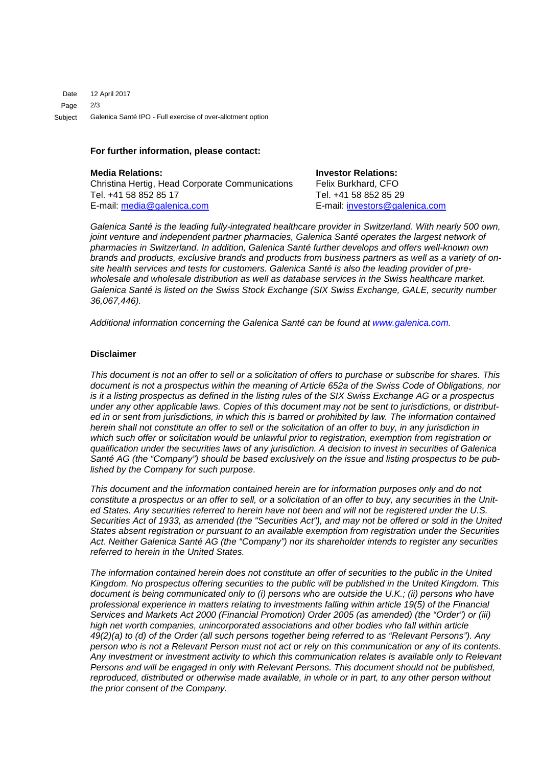12 April 2017 2/3 Galenica Santé IPO - Full exercise of over-allotment option Date Page Subject

### **For further information, please contact:**

**Media Relations: Investor Relations:** Christina Hertig, Head Corporate Communications Felix Burkhard, CFO<br>Tel. +41 58 852 85 17 Tel. +41 58 852 85 29 Tel. +41 58 852 85 17 E-mail: [media@galenica.com](mailto:media@galenica.com) E-mail: [investors@galenica.com](mailto:investors@galenica.com)

*Galenica Santé is the leading fully-integrated healthcare provider in Switzerland. With nearly 500 own, joint venture and independent partner pharmacies, Galenica Santé operates the largest network of pharmacies in Switzerland. In addition, Galenica Santé further develops and offers well-known own brands and products, exclusive brands and products from business partners as well as a variety of onsite health services and tests for customers. Galenica Santé is also the leading provider of prewholesale and wholesale distribution as well as database services in the Swiss healthcare market. Galenica Santé is listed on the Swiss Stock Exchange (SIX Swiss Exchange, GALE, security number 36,067,446).*

*Additional information concerning the Galenica Santé can be found at [www.galenica.com.](http://www.galenica.com/en/index.php)*

### **Disclaimer**

*This document is not an offer to sell or a solicitation of offers to purchase or subscribe for shares. This document is not a prospectus within the meaning of Article 652a of the Swiss Code of Obligations, nor is it a listing prospectus as defined in the listing rules of the SIX Swiss Exchange AG or a prospectus under any other applicable laws. Copies of this document may not be sent to jurisdictions, or distributed in or sent from jurisdictions, in which this is barred or prohibited by law. The information contained herein shall not constitute an offer to sell or the solicitation of an offer to buy, in any jurisdiction in which such offer or solicitation would be unlawful prior to registration, exemption from registration or qualification under the securities laws of any jurisdiction. A decision to invest in securities of Galenica Santé AG (the "Company") should be based exclusively on the issue and listing prospectus to be published by the Company for such purpose.*

*This document and the information contained herein are for information purposes only and do not constitute a prospectus or an offer to sell, or a solicitation of an offer to buy, any securities in the United States. Any securities referred to herein have not been and will not be registered under the U.S. Securities Act of 1933, as amended (the "Securities Act"), and may not be offered or sold in the United States absent registration or pursuant to an available exemption from registration under the Securities Act. Neither Galenica Santé AG (the "Company") nor its shareholder intends to register any securities referred to herein in the United States.*

*The information contained herein does not constitute an offer of securities to the public in the United Kingdom. No prospectus offering securities to the public will be published in the United Kingdom. This document is being communicated only to (i) persons who are outside the U.K.; (ii) persons who have professional experience in matters relating to investments falling within article 19(5) of the Financial Services and Markets Act 2000 (Financial Promotion) Order 2005 (as amended) (the "Order") or (iii) high net worth companies, unincorporated associations and other bodies who fall within article 49(2)(a) to (d) of the Order (all such persons together being referred to as "Relevant Persons"). Any person who is not a Relevant Person must not act or rely on this communication or any of its contents. Any investment or investment activity to which this communication relates is available only to Relevant Persons and will be engaged in only with Relevant Persons. This document should not be published, reproduced, distributed or otherwise made available, in whole or in part, to any other person without the prior consent of the Company.*